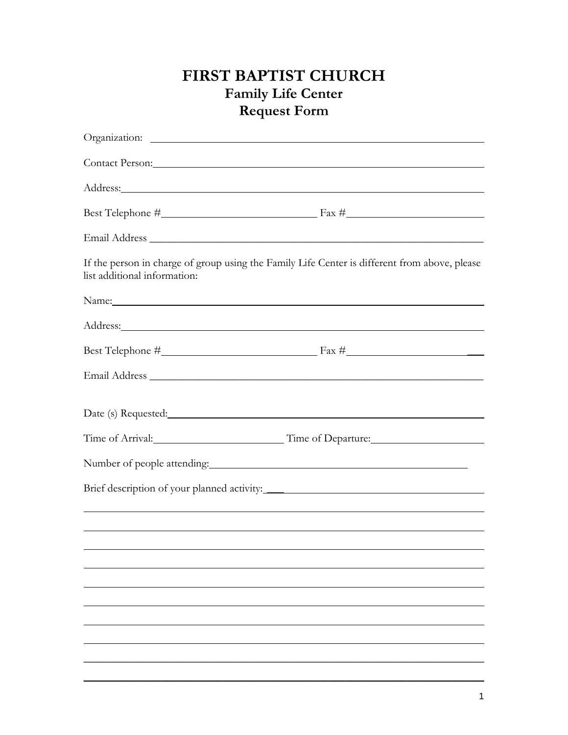## **FIRST BAPTIST CHURCH Family Life Center Request Form**

|                              | Contact Person: Note of the Contact Person:                                                                                                                                                                                         |
|------------------------------|-------------------------------------------------------------------------------------------------------------------------------------------------------------------------------------------------------------------------------------|
|                              |                                                                                                                                                                                                                                     |
|                              |                                                                                                                                                                                                                                     |
|                              |                                                                                                                                                                                                                                     |
| list additional information: | If the person in charge of group using the Family Life Center is different from above, please                                                                                                                                       |
|                              | Name: Name:                                                                                                                                                                                                                         |
|                              | Address: <u>Address:</u> Address: Address: Address: Address: Address: Address: Address: Address: Address: Address: Address: Address: Address: Address: Address: Address: Address: Address: Address: Address: Address: Address: Addr |
|                              |                                                                                                                                                                                                                                     |
|                              |                                                                                                                                                                                                                                     |
|                              |                                                                                                                                                                                                                                     |
|                              |                                                                                                                                                                                                                                     |
|                              |                                                                                                                                                                                                                                     |
|                              |                                                                                                                                                                                                                                     |
|                              |                                                                                                                                                                                                                                     |
|                              |                                                                                                                                                                                                                                     |
|                              |                                                                                                                                                                                                                                     |
|                              |                                                                                                                                                                                                                                     |
|                              |                                                                                                                                                                                                                                     |
|                              |                                                                                                                                                                                                                                     |
|                              |                                                                                                                                                                                                                                     |
|                              |                                                                                                                                                                                                                                     |

 $\mathcal{L} = \{ \mathcal{L} \mid \mathcal{L} \text{ and } \mathcal{L} \text{ and } \mathcal{L} \text{ and } \mathcal{L} \text{ and } \mathcal{L} \text{ and } \mathcal{L} \text{ and } \mathcal{L} \text{ and } \mathcal{L} \text{ and } \mathcal{L} \text{ and } \mathcal{L} \text{ and } \mathcal{L} \text{ and } \mathcal{L} \text{ and } \mathcal{L} \text{ and } \mathcal{L} \text{ and } \mathcal{L} \text{ and } \mathcal{L} \text{ and } \mathcal{L} \text{ and } \mathcal{L} \text{ and } \mathcal{L$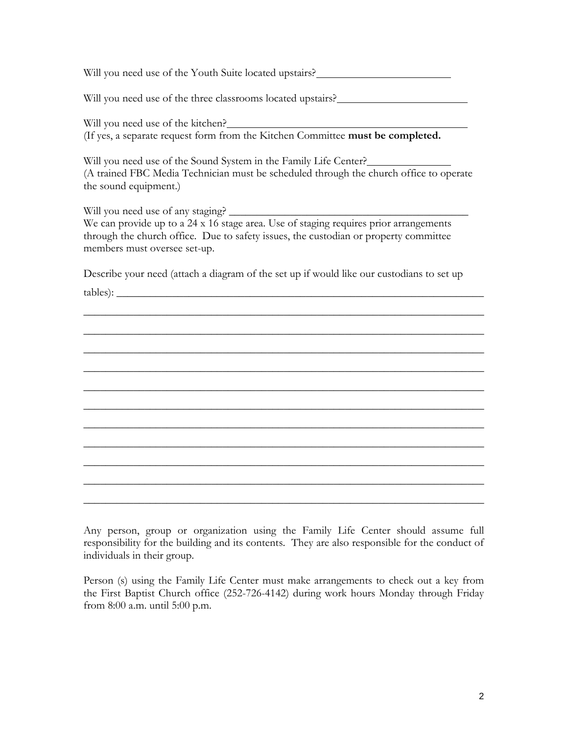Will you need use of the Youth Suite located upstairs?<br>
<u>Letting</u>

Will you need use of the three classrooms located upstairs?\_\_\_\_\_\_\_\_\_\_\_\_\_\_\_\_\_\_\_\_\_\_

Will you need use of the kitchen? (If yes, a separate request form from the Kitchen Committee **must be completed.**

Will you need use of the Sound System in the Family Life Center? (A trained FBC Media Technician must be scheduled through the church office to operate the sound equipment.)

Will you need use of any staging? We can provide up to a 24 x 16 stage area. Use of staging requires prior arrangements through the church office. Due to safety issues, the custodian or property committee members must oversee set-up.

Describe your need (attach a diagram of the set up if would like our custodians to set up tables):

 $\_$  , and the set of the set of the set of the set of the set of the set of the set of the set of the set of the set of the set of the set of the set of the set of the set of the set of the set of the set of the set of th

 $\_$  , and the set of the set of the set of the set of the set of the set of the set of the set of the set of the set of the set of the set of the set of the set of the set of the set of the set of the set of the set of th

 $\_$  , and the set of the set of the set of the set of the set of the set of the set of the set of the set of the set of the set of the set of the set of the set of the set of the set of the set of the set of the set of th

 $\_$  , and the set of the set of the set of the set of the set of the set of the set of the set of the set of the set of the set of the set of the set of the set of the set of the set of the set of the set of the set of th

 $\_$  , and the set of the set of the set of the set of the set of the set of the set of the set of the set of the set of the set of the set of the set of the set of the set of the set of the set of the set of the set of th

 $\_$  , and the set of the set of the set of the set of the set of the set of the set of the set of the set of the set of the set of the set of the set of the set of the set of the set of the set of the set of the set of th

 $\_$  , and the set of the set of the set of the set of the set of the set of the set of the set of the set of the set of the set of the set of the set of the set of the set of the set of the set of the set of the set of th

 $\_$  , and the set of the set of the set of the set of the set of the set of the set of the set of the set of the set of the set of the set of the set of the set of the set of the set of the set of the set of the set of th

 $\_$  , and the set of the set of the set of the set of the set of the set of the set of the set of the set of the set of the set of the set of the set of the set of the set of the set of the set of the set of the set of th

 $\_$  , and the set of the set of the set of the set of the set of the set of the set of the set of the set of the set of the set of the set of the set of the set of the set of the set of the set of the set of the set of th

 $\_$  , and the set of the set of the set of the set of the set of the set of the set of the set of the set of the set of the set of the set of the set of the set of the set of the set of the set of the set of the set of th

Any person, group or organization using the Family Life Center should assume full responsibility for the building and its contents. They are also responsible for the conduct of individuals in their group.

Person (s) using the Family Life Center must make arrangements to check out a key from the First Baptist Church office (252-726-4142) during work hours Monday through Friday from 8:00 a.m. until 5:00 p.m.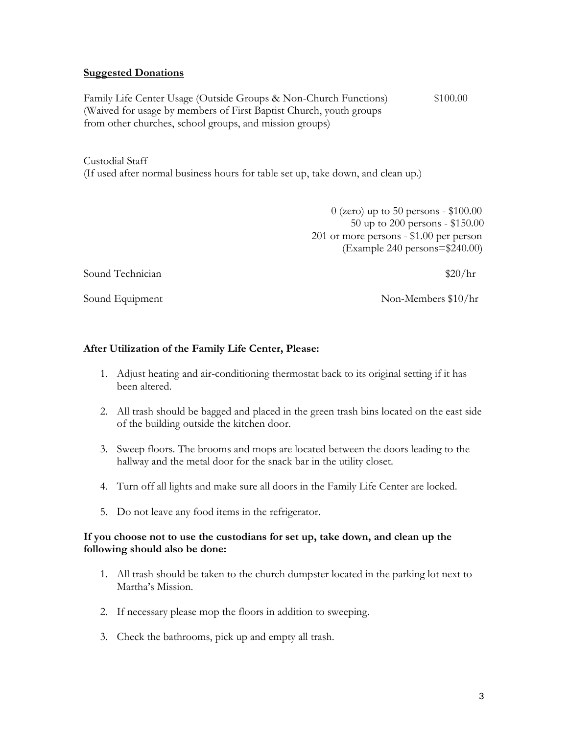## **Suggested Donations**

Family Life Center Usage (Outside Groups & Non-Church Functions)  $$100.00$ (Waived for usage by members of First Baptist Church, youth groups from other churches, school groups, and mission groups)

Custodial Staff

(If used after normal business hours for table set up, take down, and clean up.)

 0 (zero) up to 50 persons - \$100.00 50 up to 200 persons - \$150.00 201 or more persons - \$1.00 per person (Example 240 persons=\$240.00)

Sound Technician  $\frac{1}{20}$  Sound Technician

Sound Equipment Non-Members \$10/hr

## **After Utilization of the Family Life Center, Please:**

- 1. Adjust heating and air-conditioning thermostat back to its original setting if it has been altered.
- 2. All trash should be bagged and placed in the green trash bins located on the east side of the building outside the kitchen door.
- 3. Sweep floors. The brooms and mops are located between the doors leading to the hallway and the metal door for the snack bar in the utility closet.
- 4. Turn off all lights and make sure all doors in the Family Life Center are locked.
- 5. Do not leave any food items in the refrigerator.

## **If you choose not to use the custodians for set up, take down, and clean up the following should also be done:**

- 1. All trash should be taken to the church dumpster located in the parking lot next to Martha's Mission.
- 2. If necessary please mop the floors in addition to sweeping.
- 3. Check the bathrooms, pick up and empty all trash.